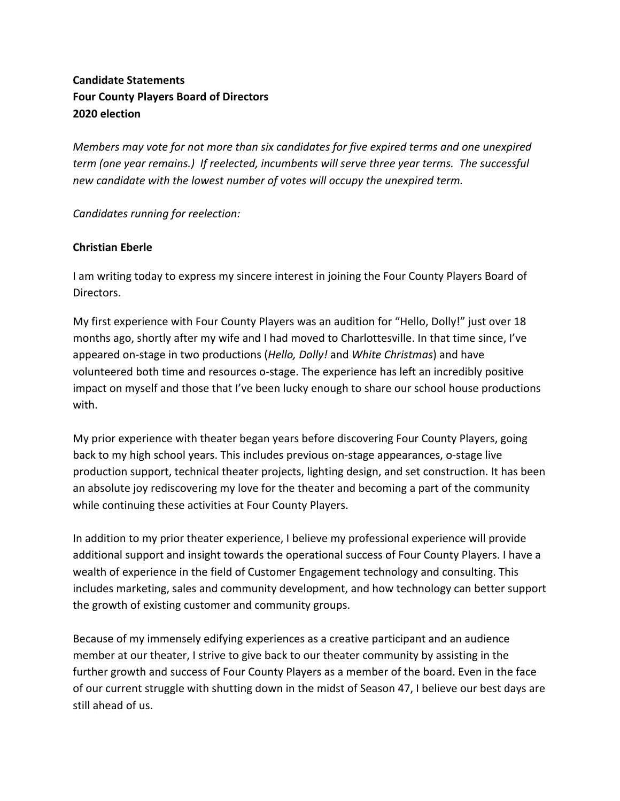# **Candidate Statements Four County Players Board of Directors 2020 election**

*Members may vote for not more than six candidates for five expired terms and one unexpired term (one year remains.) If reelected, incumbents will serve three year terms. The successful new candidate with the lowest number of votes will occupy the unexpired term.*

*Candidates running for reelection:*

### **Christian Eberle**

I am writing today to express my sincere interest in joining the Four County Players Board of Directors.

My first experience with Four County Players was an audition for "Hello, Dolly!" just over 18 months ago, shortly after my wife and I had moved to Charlottesville. In that time since, I've appeared on-stage in two productions (*Hello, Dolly!* and *White Christmas*) and have volunteered both time and resources o-stage. The experience has left an incredibly positive impact on myself and those that I've been lucky enough to share our school house productions with.

My prior experience with theater began years before discovering Four County Players, going back to my high school years. This includes previous on-stage appearances, o-stage live production support, technical theater projects, lighting design, and set construction. It has been an absolute joy rediscovering my love for the theater and becoming a part of the community while continuing these activities at Four County Players.

In addition to my prior theater experience, I believe my professional experience will provide additional support and insight towards the operational success of Four County Players. I have a wealth of experience in the field of Customer Engagement technology and consulting. This includes marketing, sales and community development, and how technology can better support the growth of existing customer and community groups.

Because of my immensely edifying experiences as a creative participant and an audience member at our theater, I strive to give back to our theater community by assisting in the further growth and success of Four County Players as a member of the board. Even in the face of our current struggle with shutting down in the midst of Season 47, I believe our best days are still ahead of us.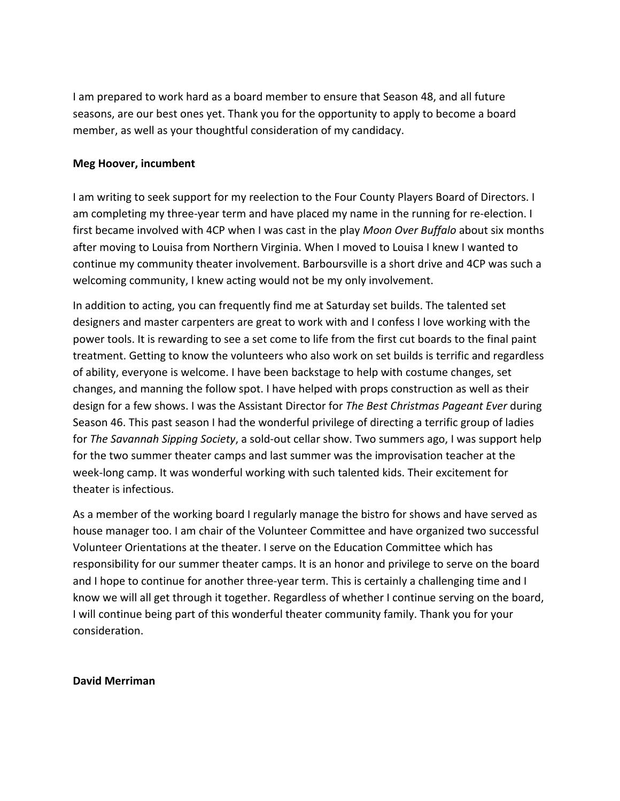I am prepared to work hard as a board member to ensure that Season 48, and all future seasons, are our best ones yet. Thank you for the opportunity to apply to become a board member, as well as your thoughtful consideration of my candidacy.

#### **Meg Hoover, incumbent**

I am writing to seek support for my reelection to the Four County Players Board of Directors. I am completing my three-year term and have placed my name in the running for re-election. I first became involved with 4CP when I was cast in the play *Moon Over Buffalo* about six months after moving to Louisa from Northern Virginia. When I moved to Louisa I knew I wanted to continue my community theater involvement. Barboursville is a short drive and 4CP was such a welcoming community, I knew acting would not be my only involvement.

In addition to acting, you can frequently find me at Saturday set builds. The talented set designers and master carpenters are great to work with and I confess I love working with the power tools. It is rewarding to see a set come to life from the first cut boards to the final paint treatment. Getting to know the volunteers who also work on set builds is terrific and regardless of ability, everyone is welcome. I have been backstage to help with costume changes, set changes, and manning the follow spot. I have helped with props construction as well as their design for a few shows. I was the Assistant Director for *The Best Christmas Pageant Ever* during Season 46. This past season I had the wonderful privilege of directing a terrific group of ladies for *The Savannah Sipping Society*, a sold-out cellar show. Two summers ago, I was support help for the two summer theater camps and last summer was the improvisation teacher at the week-long camp. It was wonderful working with such talented kids. Their excitement for theater is infectious.

As a member of the working board I regularly manage the bistro for shows and have served as house manager too. I am chair of the Volunteer Committee and have organized two successful Volunteer Orientations at the theater. I serve on the Education Committee which has responsibility for our summer theater camps. It is an honor and privilege to serve on the board and I hope to continue for another three-year term. This is certainly a challenging time and I know we will all get through it together. Regardless of whether I continue serving on the board, I will continue being part of this wonderful theater community family. Thank you for your consideration.

#### **David Merriman**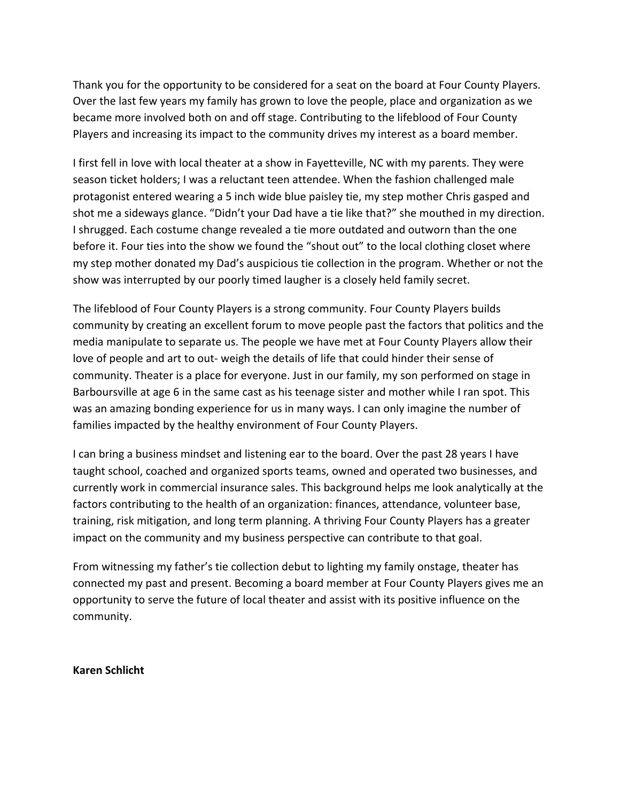Thank you for the opportunity to be considered for a seat on the board at Four County Players. Over the last few years my family has grown to love the people, place and organization as we became more involved both on and off stage. Contributing to the lifeblood of Four County Players and increasing its impact to the community drives my interest as a board member.

I first fell in love with local theater at a show in Fayetteville, NC with my parents. They were season ticket holders; I was a reluctant teen attendee. When the fashion challenged male protagonist entered wearing a 5 inch wide blue paisley tie, my step mother Chris gasped and shot me a sideways glance. "Didn't your Dad have a tie like that?" she mouthed in my direction. I shrugged. Each costume change revealed a tie more outdated and outworn than the one before it. Four ties into the show we found the "shout out" to the local clothing closet where my step mother donated my Dad's auspicious tie collection in the program. Whether or not the show was interrupted by our poorly timed laugher is a closely held family secret.

The lifeblood of Four County Players is a strong community. Four County Players builds community by creating an excellent forum to move people past the factors that politics and the media manipulate to separate us. The people we have met at Four County Players allow their love of people and art to out- weigh the details of life that could hinder their sense of community. Theater is a place for everyone. Just in our family, my son performed on stage in Barboursville at age 6 in the same cast as his teenage sister and mother while I ran spot. This was an amazing bonding experience for us in many ways. I can only imagine the number of families impacted by the healthy environment of Four County Players.

I can bring a business mindset and listening ear to the board. Over the past 28 years I have taught school, coached and organized sports teams, owned and operated two businesses, and currently work in commercial insurance sales. This background helps me look analytically at the factors contributing to the health of an organization: finances, attendance, volunteer base, training, risk mitigation, and long term planning. A thriving Four County Players has a greater impact on the community and my business perspective can contribute to that goal.

From witnessing my father's tie collection debut to lighting my family onstage, theater has connected my past and present. Becoming a board member at Four County Players gives me an opportunity to serve the future of local theater and assist with its positive influence on the community.

#### **Karen Schlicht**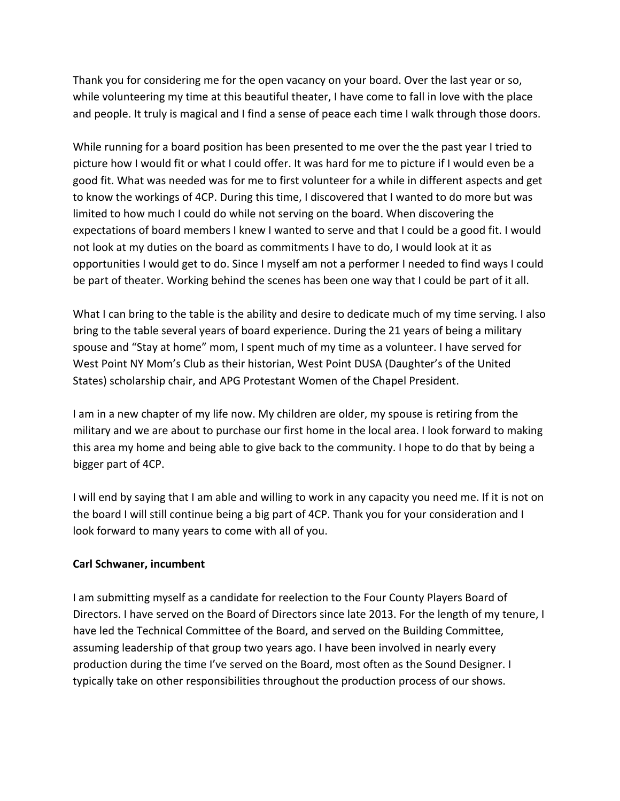Thank you for considering me for the open vacancy on your board. Over the last year or so, while volunteering my time at this beautiful theater, I have come to fall in love with the place and people. It truly is magical and I find a sense of peace each time I walk through those doors.

While running for a board position has been presented to me over the the past year I tried to picture how I would fit or what I could offer. It was hard for me to picture if I would even be a good fit. What was needed was for me to first volunteer for a while in different aspects and get to know the workings of 4CP. During this time, I discovered that I wanted to do more but was limited to how much I could do while not serving on the board. When discovering the expectations of board members I knew I wanted to serve and that I could be a good fit. I would not look at my duties on the board as commitments I have to do, I would look at it as opportunities I would get to do. Since I myself am not a performer I needed to find ways I could be part of theater. Working behind the scenes has been one way that I could be part of it all.

What I can bring to the table is the ability and desire to dedicate much of my time serving. I also bring to the table several years of board experience. During the 21 years of being a military spouse and "Stay at home" mom, I spent much of my time as a volunteer. I have served for West Point NY Mom's Club as their historian, West Point DUSA (Daughter's of the United States) scholarship chair, and APG Protestant Women of the Chapel President.

I am in a new chapter of my life now. My children are older, my spouse is retiring from the military and we are about to purchase our first home in the local area. I look forward to making this area my home and being able to give back to the community. I hope to do that by being a bigger part of 4CP.

I will end by saying that I am able and willing to work in any capacity you need me. If it is not on the board I will still continue being a big part of 4CP. Thank you for your consideration and I look forward to many years to come with all of you.

## **Carl Schwaner, incumbent**

I am submitting myself as a candidate for reelection to the Four County Players Board of Directors. I have served on the Board of Directors since late 2013. For the length of my tenure, I have led the Technical Committee of the Board, and served on the Building Committee, assuming leadership of that group two years ago. I have been involved in nearly every production during the time I've served on the Board, most often as the Sound Designer. I typically take on other responsibilities throughout the production process of our shows.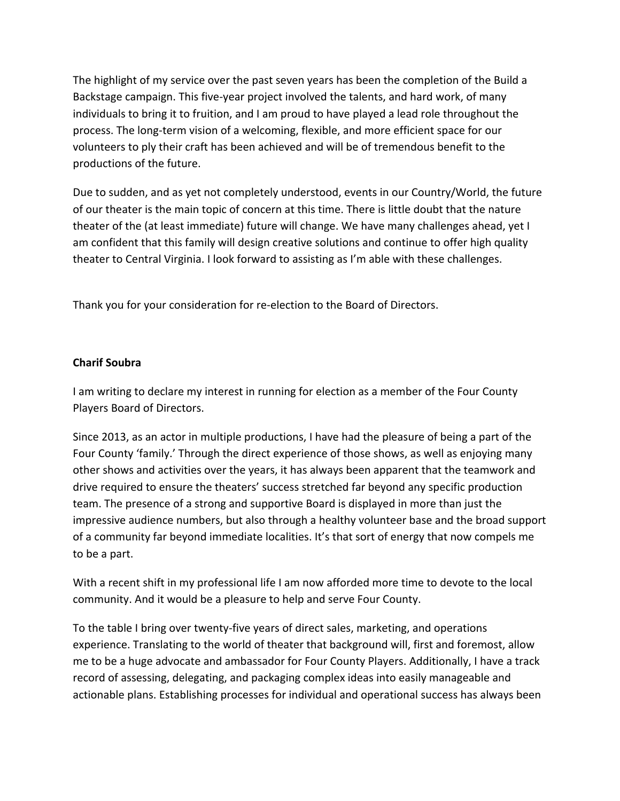The highlight of my service over the past seven years has been the completion of the Build a Backstage campaign. This five-year project involved the talents, and hard work, of many individuals to bring it to fruition, and I am proud to have played a lead role throughout the process. The long-term vision of a welcoming, flexible, and more efficient space for our volunteers to ply their craft has been achieved and will be of tremendous benefit to the productions of the future.

Due to sudden, and as yet not completely understood, events in our Country/World, the future of our theater is the main topic of concern at this time. There is little doubt that the nature theater of the (at least immediate) future will change. We have many challenges ahead, yet I am confident that this family will design creative solutions and continue to offer high quality theater to Central Virginia. I look forward to assisting as I'm able with these challenges.

Thank you for your consideration for re-election to the Board of Directors.

## **Charif Soubra**

I am writing to declare my interest in running for election as a member of the Four County Players Board of Directors.

Since 2013, as an actor in multiple productions, I have had the pleasure of being a part of the Four County 'family.' Through the direct experience of those shows, as well as enjoying many other shows and activities over the years, it has always been apparent that the teamwork and drive required to ensure the theaters' success stretched far beyond any specific production team. The presence of a strong and supportive Board is displayed in more than just the impressive audience numbers, but also through a healthy volunteer base and the broad support of a community far beyond immediate localities. It's that sort of energy that now compels me to be a part.

With a recent shift in my professional life I am now afforded more time to devote to the local community. And it would be a pleasure to help and serve Four County.

To the table I bring over twenty-five years of direct sales, marketing, and operations experience. Translating to the world of theater that background will, first and foremost, allow me to be a huge advocate and ambassador for Four County Players. Additionally, I have a track record of assessing, delegating, and packaging complex ideas into easily manageable and actionable plans. Establishing processes for individual and operational success has always been